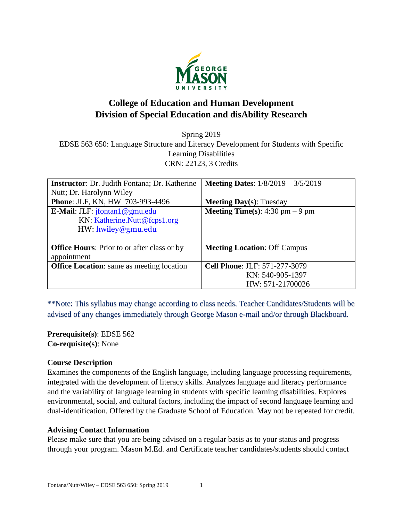

# **College of Education and Human Development Division of Special Education and disAbility Research**

Spring 2019 EDSE 563 650: Language Structure and Literacy Development for Students with Specific Learning Disabilities CRN: 22123, 3 Credits

| <b>Instructor:</b> Dr. Judith Fontana; Dr. Katherine | <b>Meeting Dates:</b> $1/8/2019 - 3/5/2019$ |
|------------------------------------------------------|---------------------------------------------|
| Nutt; Dr. Harolynn Wiley                             |                                             |
| Phone: JLF, KN, HW 703-993-4496                      | <b>Meeting Day(s):</b> Tuesday              |
| <b>E-Mail:</b> JLF: $jfontan 1@gmu.edu$              | <b>Meeting Time(s):</b> 4:30 pm $-9$ pm     |
| KN: Katherine.Nutt@fcps1.org                         |                                             |
| HW: hwiley@gmu.edu                                   |                                             |
|                                                      |                                             |
| <b>Office Hours:</b> Prior to or after class or by   | <b>Meeting Location: Off Campus</b>         |
| appointment                                          |                                             |
| <b>Office Location:</b> same as meeting location     | <b>Cell Phone: JLF: 571-277-3079</b>        |
|                                                      | KN: 540-905-1397                            |
|                                                      | HW: 571-21700026                            |

\*\*Note: This syllabus may change according to class needs. Teacher Candidates/Students will be advised of any changes immediately through George Mason e-mail and/or through Blackboard.

**Prerequisite(s)**: EDSE 562 **Co-requisite(s)**: None

### **Course Description**

Examines the components of the English language, including language processing requirements, integrated with the development of literacy skills. Analyzes language and literacy performance and the variability of language learning in students with specific learning disabilities. Explores environmental, social, and cultural factors, including the impact of second language learning and dual-identification. Offered by the Graduate School of Education. May not be repeated for credit.

#### **Advising Contact Information**

Please make sure that you are being advised on a regular basis as to your status and progress through your program. Mason M.Ed. and Certificate teacher candidates/students should contact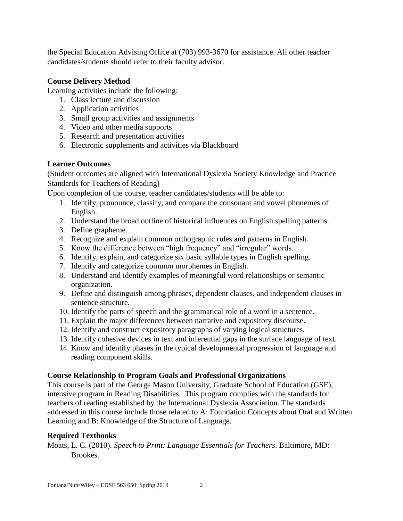the Special Education Advising Office at (703) 993-3670 for assistance. All other teacher candidates/students should refer to their faculty advisor.

## **Course Delivery Method**

Learning activities include the following:

- 1. Class lecture and discussion
- 2. Application activities
- 3. Small group activities and assignments
- 4. Video and other media supports
- 5. Research and presentation activities
- 6. Electronic supplements and activities via Blackboard

## **Learner Outcomes**

(Student outcomes are aligned with International Dyslexia Society Knowledge and Practice Standards for Teachers of Reading)

Upon completion of the course, teacher candidates/students will be able to:

- 1. Identify, pronounce, classify, and compare the consonant and vowel phonemes of English.
- 2. Understand the broad outline of historical influences on English spelling patterns.
- 3. Define grapheme.
- 4. Recognize and explain common orthographic rules and patterns in English.
- 5. Know the difference between "high frequency" and "irregular" words.
- 6. Identify, explain, and categorize six basic syllable types in English spelling.
- 7. Identify and categorize common morphemes in English.
- 8. Understand and identify examples of meaningful word relationships or semantic organization.
- 9. Define and distinguish among phrases, dependent clauses, and independent clauses in sentence structure.
- 10. Identify the parts of speech and the grammatical role of a word in a sentence.
- 11. Explain the major differences between narrative and expository discourse.
- 12. Identify and construct expository paragraphs of varying logical structures.
- 13. Identify cohesive devices in text and inferential gaps in the surface language of text.
- 14. Know and identify phases in the typical developmental progression of language and reading component skills.

# **Course Relationship to Program Goals and Professional Organizations**

This course is part of the George Mason University, Graduate School of Education (GSE), intensive program in Reading Disabilities. This program complies with the standards for teachers of reading established by the International Dyslexia Association. The standards addressed in this course include those related to A: Foundation Concepts about Oral and Written Learning and B: Knowledge of the Structure of Language.

# **Required Textbooks**

Moats, L. C. (2010). *Speech to Print: Language Essentials for Teachers*. Baltimore, MD: Brookes.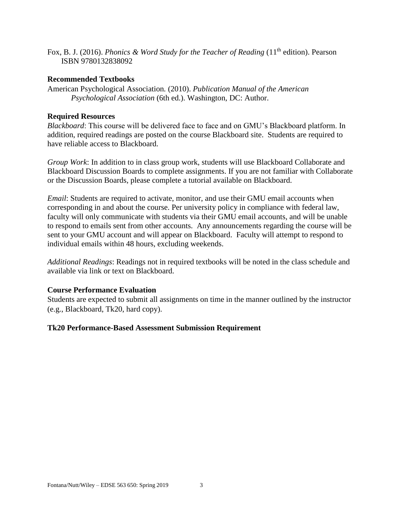Fox, B. J. (2016). *Phonics & Word Study for the Teacher of Reading* (11<sup>th</sup> edition). Pearson ISBN 9780132838092

#### **Recommended Textbooks**

American Psychological Association*.* (2010). *Publication Manual of the American Psychological Association* (6th ed.). Washington, DC: Author.

### **Required Resources**

*Blackboard*: This course will be delivered face to face and on GMU's Blackboard platform. In addition, required readings are posted on the course Blackboard site. Students are required to have reliable access to Blackboard.

*Group Work*: In addition to in class group work, students will use Blackboard Collaborate and Blackboard Discussion Boards to complete assignments. If you are not familiar with Collaborate or the Discussion Boards, please complete a tutorial available on Blackboard.

*Email*: Students are required to activate, monitor, and use their GMU email accounts when corresponding in and about the course. Per university policy in compliance with federal law, faculty will only communicate with students via their GMU email accounts, and will be unable to respond to emails sent from other accounts. Any announcements regarding the course will be sent to your GMU account and will appear on Blackboard. Faculty will attempt to respond to individual emails within 48 hours, excluding weekends.

*Additional Readings*: Readings not in required textbooks will be noted in the class schedule and available via link or text on Blackboard.

### **Course Performance Evaluation**

Students are expected to submit all assignments on time in the manner outlined by the instructor (e.g., Blackboard, Tk20, hard copy).

#### **Tk20 Performance-Based Assessment Submission Requirement**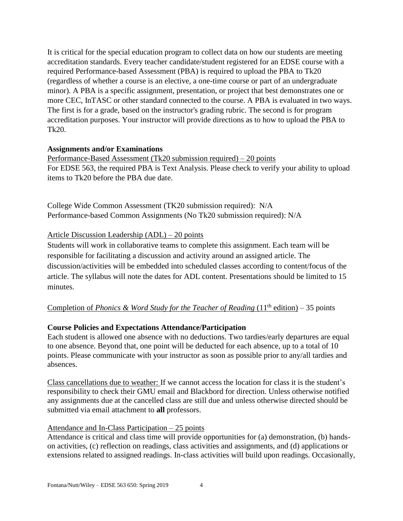It is critical for the special education program to collect data on how our students are meeting accreditation standards. Every teacher candidate/student registered for an EDSE course with a required Performance-based Assessment (PBA) is required to upload the PBA to Tk20 (regardless of whether a course is an elective, a one-time course or part of an undergraduate minor). A PBA is a specific assignment, presentation, or project that best demonstrates one or more CEC, InTASC or other standard connected to the course. A PBA is evaluated in two ways. The first is for a grade, based on the instructor's grading rubric. The second is for program accreditation purposes. Your instructor will provide directions as to how to upload the PBA to Tk20.

#### **Assignments and/or Examinations**

Performance-Based Assessment (Tk20 submission required) – 20 points For EDSE 563, the required PBA is Text Analysis. Please check to verify your ability to upload items to Tk20 before the PBA due date.

College Wide Common Assessment (TK20 submission required): N/A Performance-based Common Assignments (No Tk20 submission required): N/A

### Article Discussion Leadership (ADL) – 20 points

Students will work in collaborative teams to complete this assignment. Each team will be responsible for facilitating a discussion and activity around an assigned article. The discussion/activities will be embedded into scheduled classes according to content/focus of the article. The syllabus will note the dates for ADL content. Presentations should be limited to 15 minutes.

## Completion of *Phonics & Word Study for the Teacher of Reading* (11<sup>th</sup> edition) – 35 points

### **Course Policies and Expectations Attendance/Participation**

Each student is allowed one absence with no deductions. Two tardies/early departures are equal to one absence. Beyond that, one point will be deducted for each absence, up to a total of 10 points. Please communicate with your instructor as soon as possible prior to any/all tardies and absences.

Class cancellations due to weather: If we cannot access the location for class it is the student's responsibility to check their GMU email and Blackbord for direction. Unless otherwise notified any assignments due at the cancelled class are still due and unless otherwise directed should be submitted via email attachment to **all** professors.

#### Attendance and In-Class Participation – 25 points

Attendance is critical and class time will provide opportunities for (a) demonstration, (b) handson activities, (c) reflection on readings, class activities and assignments, and (d) applications or extensions related to assigned readings. In-class activities will build upon readings. Occasionally,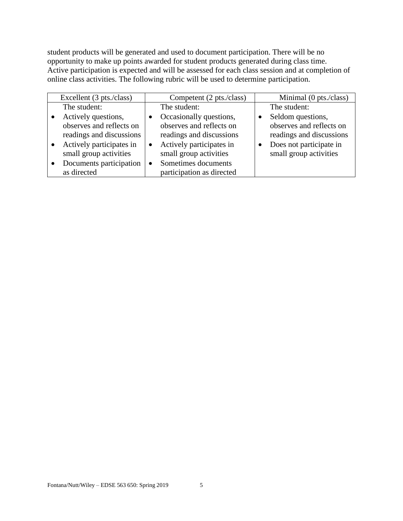student products will be generated and used to document participation. There will be no opportunity to make up points awarded for student products generated during class time. Active participation is expected and will be assessed for each class session and at completion of online class activities. The following rubric will be used to determine participation.

| Excellent (3 pts./class) |           | Competent (2 pts./class)  | Minimal (0 pts./class)   |
|--------------------------|-----------|---------------------------|--------------------------|
| The student:             |           | The student:              | The student:             |
| Actively questions,      |           | Occasionally questions,   | Seldom questions,        |
| observes and reflects on |           | observes and reflects on  | observes and reflects on |
| readings and discussions |           | readings and discussions  | readings and discussions |
| Actively participates in | $\bullet$ | Actively participates in  | Does not participate in  |
| small group activities   |           | small group activities    | small group activities   |
| Documents participation  |           | Sometimes documents       |                          |
| as directed              |           | participation as directed |                          |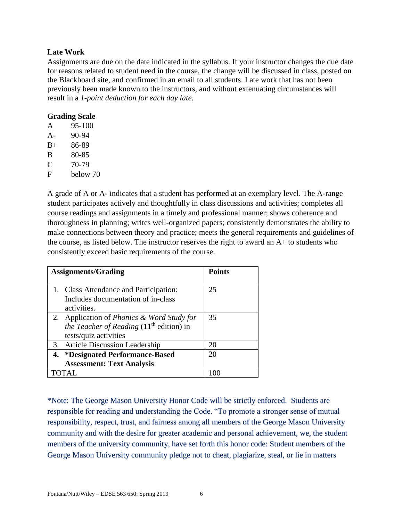### **Late Work**

Assignments are due on the date indicated in the syllabus. If your instructor changes the due date for reasons related to student need in the course, the change will be discussed in class, posted on the Blackboard site, and confirmed in an email to all students. Late work that has not been previously been made known to the instructors, and without extenuating circumstances will result in a *1-point deduction for each day late.*

### **Grading Scale**

| A     | 95-100   |
|-------|----------|
| $A -$ | 90-94    |
| $B+$  | 86-89    |
| B     | 80-85    |
| C     | 70-79    |
| F     | below 70 |
|       |          |

A grade of A or A- indicates that a student has performed at an exemplary level. The A-range student participates actively and thoughtfully in class discussions and activities; completes all course readings and assignments in a timely and professional manner; shows coherence and thoroughness in planning; writes well-organized papers; consistently demonstrates the ability to make connections between theory and practice; meets the general requirements and guidelines of the course, as listed below. The instructor reserves the right to award an A+ to students who consistently exceed basic requirements of the course.

| <b>Assignments/Grading</b>                            | <b>Points</b> |
|-------------------------------------------------------|---------------|
|                                                       |               |
| 1. Class Attendance and Participation:                | 25            |
| Includes documentation of in-class                    |               |
| activities.                                           |               |
| 2. Application of <i>Phonics &amp; Word Study for</i> | 35            |
| <i>the Teacher of Reading</i> $(11th$ edition) in     |               |
| tests/quiz activities                                 |               |
| 3. Article Discussion Leadership                      | 20            |
| 4. *Designated Performance-Based                      | 20            |
| <b>Assessment: Text Analysis</b>                      |               |
|                                                       |               |

\*Note: The George Mason University Honor Code will be strictly enforced. Students are responsible for reading and understanding the Code. "To promote a stronger sense of mutual responsibility, respect, trust, and fairness among all members of the George Mason University community and with the desire for greater academic and personal achievement, we, the student members of the university community, have set forth this honor code: Student members of the George Mason University community pledge not to cheat, plagiarize, steal, or lie in matters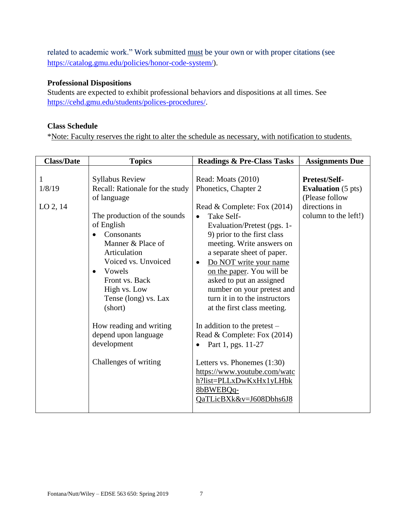related to academic work." Work submitted must be your own or with proper citations (see [https://catalog.gmu.edu/policies/honor-code-system/\)](https://catalog.gmu.edu/policies/honor-code-system/).

### **Professional Dispositions**

Students are expected to exhibit professional behaviors and dispositions at all times. See [https://cehd.gmu.edu/students/polices-procedures/.](https://cehd.gmu.edu/students/polices-procedures/)

#### **Class Schedule**

\*Note: Faculty reserves the right to alter the schedule as necessary, with notification to students.

| <b>Class/Date</b>         | <b>Topics</b>                                                                                                                                                                                                                                                                                                                                                                           | <b>Readings &amp; Pre-Class Tasks</b>                                                                                                                                                                                                                                                                                                                                                                                                                                                                                                                                                                                                                 | <b>Assignments Due</b>                                                                                |
|---------------------------|-----------------------------------------------------------------------------------------------------------------------------------------------------------------------------------------------------------------------------------------------------------------------------------------------------------------------------------------------------------------------------------------|-------------------------------------------------------------------------------------------------------------------------------------------------------------------------------------------------------------------------------------------------------------------------------------------------------------------------------------------------------------------------------------------------------------------------------------------------------------------------------------------------------------------------------------------------------------------------------------------------------------------------------------------------------|-------------------------------------------------------------------------------------------------------|
| 1<br>1/8/19<br>$LO$ 2, 14 | <b>Syllabus Review</b><br>Recall: Rationale for the study<br>of language<br>The production of the sounds<br>of English<br>Consonants<br>Manner & Place of<br>Articulation<br>Voiced vs. Unvoiced<br>Vowels<br>$\bullet$<br>Front vs. Back<br>High vs. Low<br>Tense (long) vs. Lax<br>(short)<br>How reading and writing<br>depend upon language<br>development<br>Challenges of writing | Read: Moats (2010)<br>Phonetics, Chapter 2<br>Read & Complete: Fox $(2014)$<br>Take Self-<br>٠<br>Evaluation/Pretest (pgs. 1-<br>9) prior to the first class<br>meeting. Write answers on<br>a separate sheet of paper.<br>Do NOT write your name<br>٠<br>on the paper. You will be<br>asked to put an assigned<br>number on your pretest and<br>turn it in to the instructors<br>at the first class meeting.<br>In addition to the pretest $-$<br>Read & Complete: Fox (2014)<br>Part 1, pgs. 11-27<br>$\bullet$<br>Letters vs. Phonemes $(1:30)$<br>https://www.youtube.com/watc<br>h?list=PLLxDwKxHx1yLHbk<br>8bBWEBQq-<br>QaTLicBXk&v=J608Dbhs6J8 | Pretest/Self-<br><b>Evaluation</b> (5 pts)<br>(Please follow<br>directions in<br>column to the left!) |
|                           |                                                                                                                                                                                                                                                                                                                                                                                         |                                                                                                                                                                                                                                                                                                                                                                                                                                                                                                                                                                                                                                                       |                                                                                                       |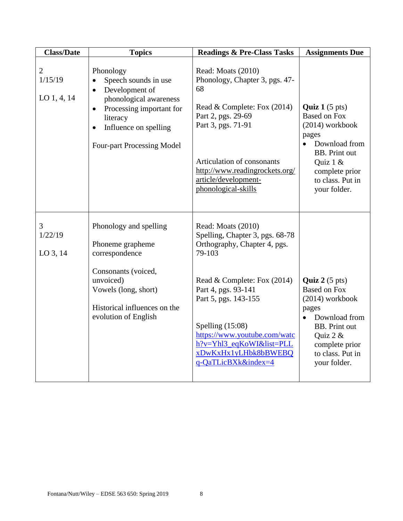| <b>Class/Date</b>                          | <b>Topics</b>                                                                                                                                                                                                              | <b>Readings &amp; Pre-Class Tasks</b>                                                                                                                                                                                                                                                                          | <b>Assignments Due</b>                                                                                                                                                                                       |
|--------------------------------------------|----------------------------------------------------------------------------------------------------------------------------------------------------------------------------------------------------------------------------|----------------------------------------------------------------------------------------------------------------------------------------------------------------------------------------------------------------------------------------------------------------------------------------------------------------|--------------------------------------------------------------------------------------------------------------------------------------------------------------------------------------------------------------|
| $\overline{2}$<br>1/15/19<br>LO $1, 4, 14$ | Phonology<br>Speech sounds in use<br>$\bullet$<br>Development of<br>$\bullet$<br>phonological awareness<br>Processing important for<br>$\bullet$<br>literacy<br>Influence on spelling<br><b>Four-part Processing Model</b> | Read: Moats (2010)<br>Phonology, Chapter 3, pgs. 47-<br>68<br>Read & Complete: Fox (2014)<br>Part 2, pgs. 29-69<br>Part 3, pgs. 71-91<br>Articulation of consonants<br>http://www.readingrockets.org/<br>article/development-<br>phonological-skills                                                           | <b>Quiz 1</b> $(5 \text{ pts})$<br><b>Based on Fox</b><br>$(2014)$ workbook<br>pages<br>Download from<br>$\bullet$<br><b>BB.</b> Print out<br>Quiz 1 &<br>complete prior<br>to class. Put in<br>your folder. |
| 3<br>1/22/19<br>LO 3, 14                   | Phonology and spelling<br>Phoneme grapheme<br>correspondence<br>Consonants (voiced,<br>unvoiced)<br>Vowels (long, short)<br>Historical influences on the<br>evolution of English                                           | Read: Moats (2010)<br>Spelling, Chapter 3, pgs. 68-78<br>Orthography, Chapter 4, pgs.<br>79-103<br>Read & Complete: Fox (2014)<br>Part 4, pgs. 93-141<br>Part 5, pgs. 143-155<br>Spelling $(15:08)$<br>https://www.youtube.com/watc<br>h?v=Yhl3_eqKoWI&list=PLL<br>xDwKxHx1yLHbk8bBWEBQ<br>q-QaTLicBXk&index=4 | Quiz $2(5 \text{ pts})$<br><b>Based on Fox</b><br>$(2014)$ workbook<br>pages<br>Download from<br>$\bullet$<br><b>BB.</b> Print out<br>Quiz 2 &<br>complete prior<br>to class. Put in<br>your folder.         |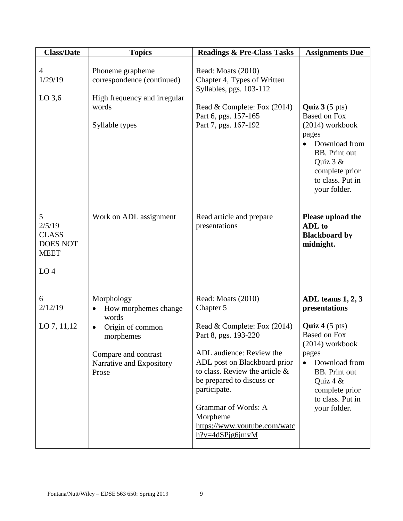| <b>Class/Date</b>                                                                | <b>Topics</b>                                                                                                                                  | <b>Readings &amp; Pre-Class Tasks</b>                                                                                                                                                                                                                                                                                         | <b>Assignments Due</b>                                                                                                                                                                                                                  |
|----------------------------------------------------------------------------------|------------------------------------------------------------------------------------------------------------------------------------------------|-------------------------------------------------------------------------------------------------------------------------------------------------------------------------------------------------------------------------------------------------------------------------------------------------------------------------------|-----------------------------------------------------------------------------------------------------------------------------------------------------------------------------------------------------------------------------------------|
| $\overline{4}$<br>1/29/19<br>$LO$ 3,6                                            | Phoneme grapheme<br>correspondence (continued)<br>High frequency and irregular<br>words<br>Syllable types                                      | Read: Moats (2010)<br>Chapter 4, Types of Written<br>Syllables, pgs. 103-112<br>Read & Complete: Fox (2014)<br>Part 6, pgs. 157-165<br>Part 7, pgs. 167-192                                                                                                                                                                   | <b>Quiz 3</b> $(5 \text{ pts})$<br><b>Based on Fox</b><br>$(2014)$ workbook<br>pages<br>Download from<br><b>BB.</b> Print out<br>Quiz $3 &$<br>complete prior<br>to class. Put in<br>your folder.                                       |
| 5<br>2/5/19<br><b>CLASS</b><br><b>DOES NOT</b><br><b>MEET</b><br>LO <sub>4</sub> | Work on ADL assignment                                                                                                                         | Read article and prepare<br>presentations                                                                                                                                                                                                                                                                                     | Please upload the<br>ADL to<br><b>Blackboard by</b><br>midnight.                                                                                                                                                                        |
| 6<br>2/12/19<br>LO $7, 11, 12$                                                   | Morphology<br>How morphemes change<br>٠<br>words<br>Origin of common<br>morphemes<br>Compare and contrast<br>Narrative and Expository<br>Prose | Read: Moats (2010)<br>Chapter 5<br>Read & Complete: Fox (2014)<br>Part 8, pgs. 193-220<br>ADL audience: Review the<br>ADL post on Blackboard prior<br>to class. Review the article $\&$<br>be prepared to discuss or<br>participate.<br>Grammar of Words: A<br>Morpheme<br>https://www.youtube.com/watc<br>$h$ ?v=4dSPjg6jmvM | ADL teams 1, 2, 3<br>presentations<br><b>Quiz 4</b> $(5 \text{ pts})$<br><b>Based on Fox</b><br>$(2014)$ workbook<br>pages<br>Download from<br><b>BB.</b> Print out<br>Quiz 4 $&$<br>complete prior<br>to class. Put in<br>your folder. |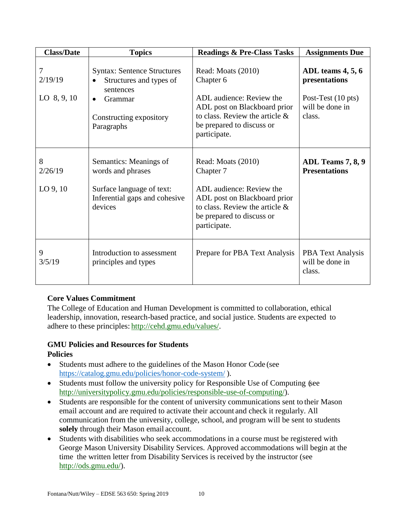| <b>Class/Date</b>             | <b>Topics</b>                                                                                                                               | <b>Readings &amp; Pre-Class Tasks</b>                                                                                                                                         | <b>Assignments Due</b>                                                                            |
|-------------------------------|---------------------------------------------------------------------------------------------------------------------------------------------|-------------------------------------------------------------------------------------------------------------------------------------------------------------------------------|---------------------------------------------------------------------------------------------------|
| 7<br>2/19/19<br>LO $8, 9, 10$ | <b>Syntax: Sentence Structures</b><br>Structures and types of<br>sentences<br>Grammar<br>$\bullet$<br>Constructing expository<br>Paragraphs | Read: Moats (2010)<br>Chapter 6<br>ADL audience: Review the<br>ADL post on Blackboard prior<br>to class. Review the article $\&$<br>be prepared to discuss or<br>participate. | ADL teams $4, 5, 6$<br>presentations<br>Post-Test $(10 \text{ pts})$<br>will be done in<br>class. |
| 8<br>2/26/19<br>$LO$ 9, 10    | Semantics: Meanings of<br>words and phrases<br>Surface language of text:<br>Inferential gaps and cohesive<br>devices                        | Read: Moats (2010)<br>Chapter 7<br>ADL audience: Review the<br>ADL post on Blackboard prior<br>to class. Review the article $\&$<br>be prepared to discuss or<br>participate. | ADL Teams 7, 8, 9<br><b>Presentations</b>                                                         |
| 9<br>3/5/19                   | Introduction to assessment<br>principles and types                                                                                          | Prepare for PBA Text Analysis                                                                                                                                                 | <b>PBA Text Analysis</b><br>will be done in<br>class.                                             |

# **Core Values Commitment**

The College of Education and Human Development is committed to collaboration, ethical leadership, innovation, research-based practice, and social justice. Students are expected to adhere to these principles: [http://cehd.gmu.edu/values/.](http://cehd.gmu.edu/values/)

# **GMU Policies and Resources for Students Policies**

- Students must adhere to the guidelines of the Mason Honor Code (see <https://catalog.gmu.edu/policies/honor-code-system/> ).
- Students must follow the university policy for Responsible Use of Computing (see [http://universitypolicy.gmu.edu/policies/responsible-use-of-computing/\)](http://universitypolicy.gmu.edu/policies/responsible-use-of-computing/).
- Students are responsible for the content of university communications sent to their Mason email account and are required to activate their account and check it regularly. All communication from the university, college, school, and program will be sent to students **solely** through their Mason email account.
- Students with disabilities who seek accommodations in a course must be registered with George Mason University Disability Services. Approved accommodations will begin at the time the written letter from Disability Services is received by the instructor (see [http://ods.gmu.edu/\)](http://ods.gmu.edu/).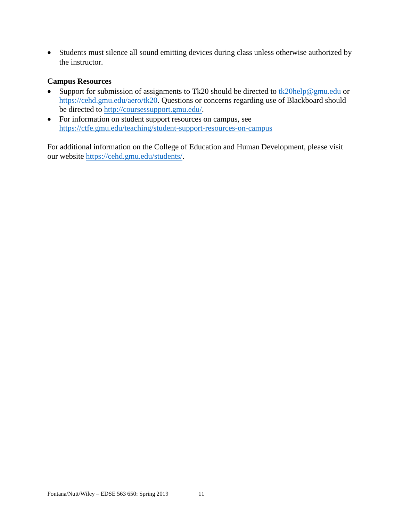Students must silence all sound emitting devices during class unless otherwise authorized by the instructor.

### **Campus Resources**

- Support for submission of assignments to Tk20 should be directed to  $\frac{tk20\text{help@gmu.edu}}{tk20\text{help@gmu.edu}}$  or [https://cehd.gmu.edu/aero/tk20.](https://cehd.gmu.edu/aero/tk20) Questions or concerns regarding use of Blackboard should be directed to [http://coursessupport.gmu.edu/.](http://coursessupport.gmu.edu/)
- For information on student support resources on campus, see <https://ctfe.gmu.edu/teaching/student-support-resources-on-campus>

For additional information on the College of Education and Human Development, please visit our website [https://cehd.gmu.edu/students/.](https://cehd.gmu.edu/students/)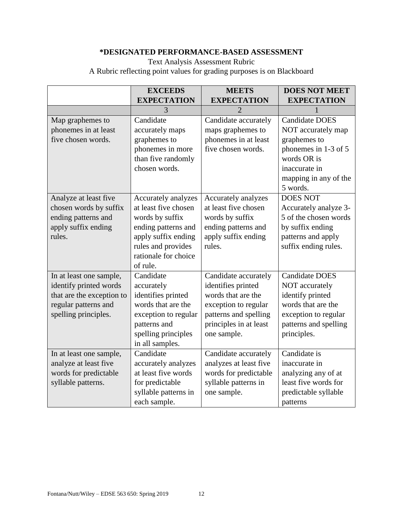# **\*DESIGNATED PERFORMANCE-BASED ASSESSMENT**

Text Analysis Assessment Rubric A Rubric reflecting point values for grading purposes is on Blackboard

|                           | <b>EXCEEDS</b>       | <b>MEETS</b>                | <b>DOES NOT MEET</b>  |
|---------------------------|----------------------|-----------------------------|-----------------------|
|                           | <b>EXPECTATION</b>   | <b>EXPECTATION</b>          | <b>EXPECTATION</b>    |
|                           | 3                    | $\mathcal{D}_{\mathcal{A}}$ |                       |
| Map graphemes to          | Candidate            | Candidate accurately        | <b>Candidate DOES</b> |
| phonemes in at least      | accurately maps      | maps graphemes to           | NOT accurately map    |
| five chosen words.        | graphemes to         | phonemes in at least        | graphemes to          |
|                           | phonemes in more     | five chosen words.          | phonemes in 1-3 of 5  |
|                           | than five randomly   |                             | words OR is           |
|                           | chosen words.        |                             | inaccurate in         |
|                           |                      |                             | mapping in any of the |
|                           |                      |                             | 5 words.              |
| Analyze at least five     | Accurately analyzes  | Accurately analyzes         | <b>DOES NOT</b>       |
| chosen words by suffix    | at least five chosen | at least five chosen        | Accurately analyze 3- |
| ending patterns and       | words by suffix      | words by suffix             | 5 of the chosen words |
| apply suffix ending       | ending patterns and  | ending patterns and         | by suffix ending      |
| rules.                    | apply suffix ending  | apply suffix ending         | patterns and apply    |
|                           | rules and provides   | rules.                      | suffix ending rules.  |
|                           | rationale for choice |                             |                       |
|                           | of rule.             |                             |                       |
| In at least one sample,   | Candidate            | Candidate accurately        | <b>Candidate DOES</b> |
| identify printed words    | accurately           | identifies printed          | NOT accurately        |
| that are the exception to | identifies printed   | words that are the          | identify printed      |
| regular patterns and      | words that are the   | exception to regular        | words that are the    |
| spelling principles.      | exception to regular | patterns and spelling       | exception to regular  |
|                           | patterns and         | principles in at least      | patterns and spelling |
|                           | spelling principles  | one sample.                 | principles.           |
|                           | in all samples.      |                             |                       |
| In at least one sample,   | Candidate            | Candidate accurately        | Candidate is          |
| analyze at least five     | accurately analyzes  | analyzes at least five      | inaccurate in         |
| words for predictable     | at least five words  | words for predictable       | analyzing any of at   |
| syllable patterns.        | for predictable      | syllable patterns in        | least five words for  |
|                           | syllable patterns in | one sample.                 | predictable syllable  |
|                           | each sample.         |                             | patterns              |